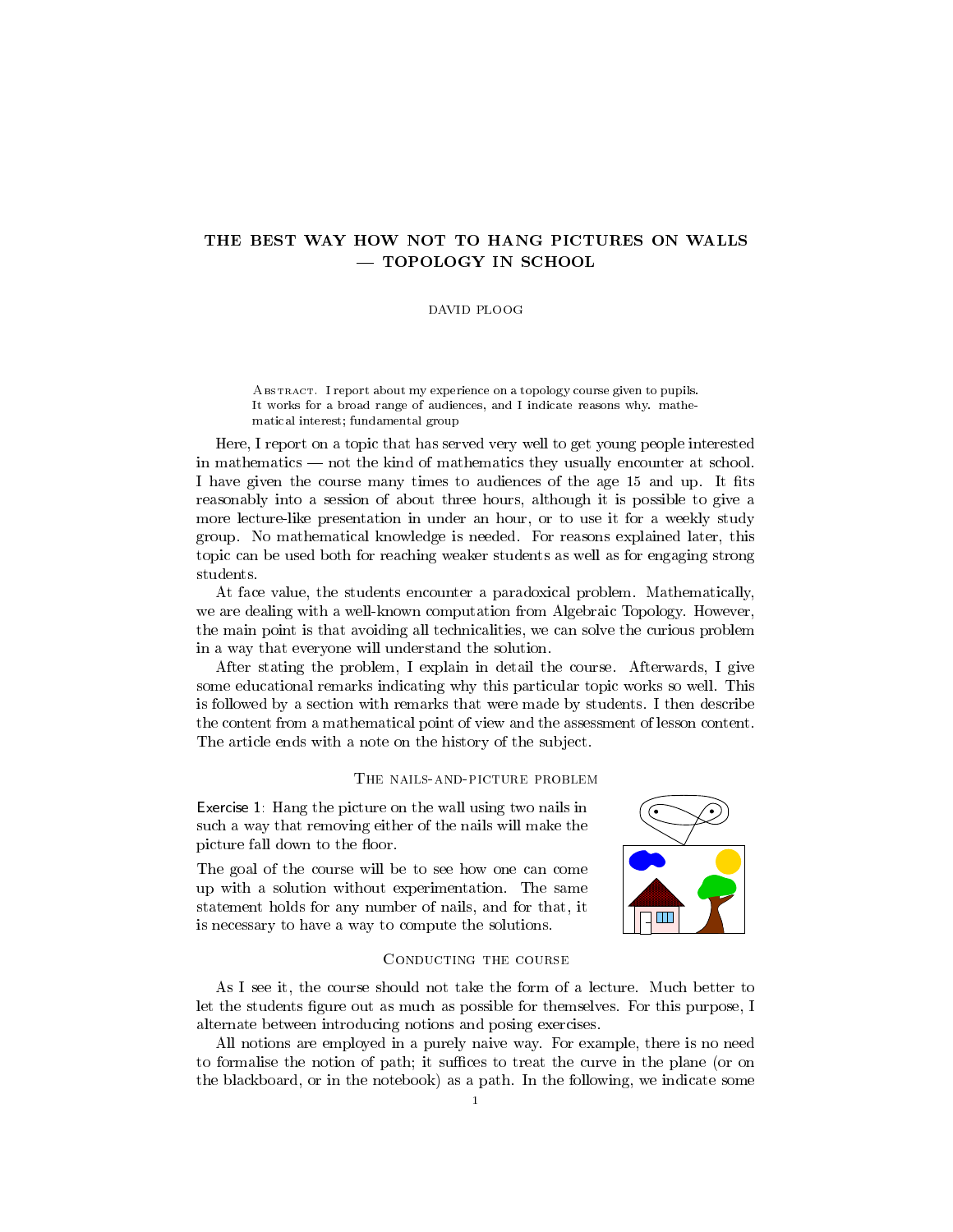# THE BEST WAY HOW NOT TO HANG PICTURES ON WALLS TOPOLOGY IN SCHOOL

# DAVID PLOOG

Abstract. I report about my experience on a topology course given to pupils. It works for a broad range of audiences, and I indicate reasons why. mathematical interest; fundamental group

Here, I report on a topic that has served very well to get young people interested in mathematics — not the kind of mathematics they usually encounter at school. I have given the course many times to audiences of the age 15 and up. It fits reasonably into a session of about three hours, although it is possible to give a more lecture-like presentation in under an hour, or to use it for a weekly study group. No mathematical knowledge is needed. For reasons explained later, this topic can be used both for reaching weaker students as well as for engaging strong students.

At face value, the students encounter a paradoxical problem. Mathematically, we are dealing with a well-known computation from Algebraic Topology. However, the main point is that avoiding all technicalities, we can solve the curious problem in a way that everyone will understand the solution.

After stating the problem, I explain in detail the course. Afterwards, I give some educational remarks indicating why this particular topic works so well. This is followed by a section with remarks that were made by students. I then describe the content from a mathematical point of view and the assessment of lesson content. The article ends with a note on the history of the subject.

# THE NAILS-AND-PICTURE PROBLEM

Exercise 1: Hang the picture on the wall using two nails in such a way that removing either of the nails will make the picture fall down to the floor.

The goal of the course will be to see how one can come up with a solution without experimentation. The same statement holds for any number of nails, and for that, it is necessary to have a way to compute the solutions.



### Conducting the course

As I see it, the course should not take the form of a lecture. Much better to let the students figure out as much as possible for themselves. For this purpose, I alternate between introducing notions and posing exercises.

All notions are employed in a purely naive way. For example, there is no need to formalise the notion of path; it suffices to treat the curve in the plane (or on the blackboard, or in the notebook) as a path. In the following, we indicate some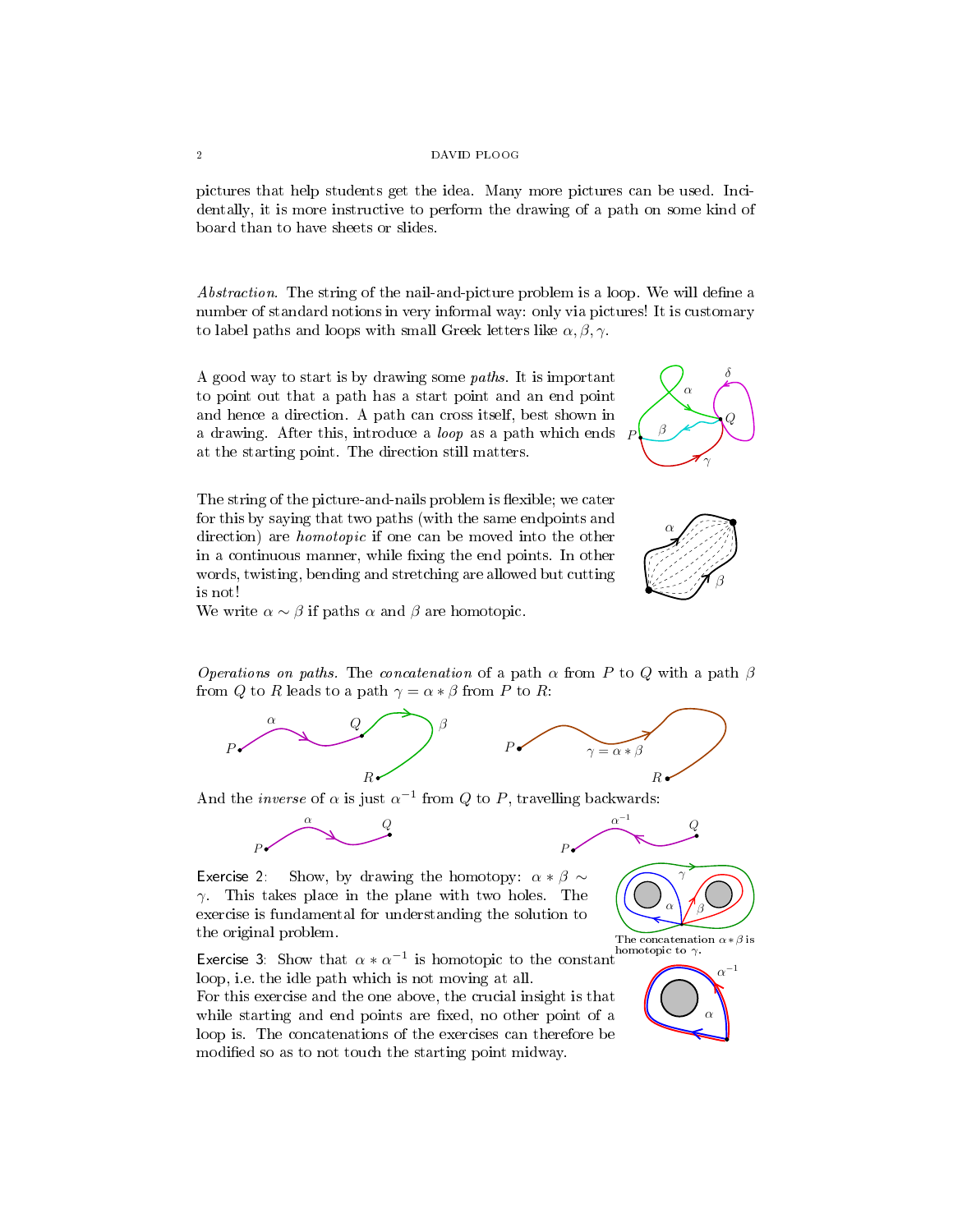### 2 DAVID PLOOG

pictures that help students get the idea. Many more pictures can be used. Incidentally, it is more instructive to perform the drawing of a path on some kind of board than to have sheets or slides.

Abstraction. The string of the nail-and-picture problem is a loop. We will define a number of standard notions in very informal way: only via pictures! It is customary to label paths and loops with small Greek letters like  $\alpha, \beta, \gamma$ .

A good way to start is by drawing some paths. It is important to point out that a path has a start point and an end point and hence a direction. A path can cross itself, best shown in a drawing. After this, introduce a loop as a path which ends at the starting point. The direction still matters.



The string of the picture-and-nails problem is flexible; we cater for this by saying that two paths (with the same endpoints and direction) are homotopic if one can be moved into the other in a continuous manner, while fixing the end points. In other words, twisting, bending and stretching are allowed but cutting is not!



We write  $\alpha \sim \beta$  if paths  $\alpha$  and  $\beta$  are homotopic.

*Operations on paths.* The *concatenation* of a path  $\alpha$  from P to Q with a path  $\beta$ from Q to R leads to a path  $\gamma = \alpha * \beta$  from P to R:



And the *inverse* of  $\alpha$  is just  $\alpha^{-1}$  from Q to P, travelling backwards:



Exercise 2: Show, by drawing the homotopy:  $\alpha * \beta \sim$  $\gamma$ . This takes place in the plane with two holes. The exercise is fundamental for understanding the solution to the original problem.

Exercise 3: Show that  $\alpha * \alpha^{-1}$  is homotopic to the constant loop, i.e. the idle path which is not moving at all.

For this exercise and the one above, the crucial insight is that while starting and end points are fixed, no other point of a loop is. The concatenations of the exercises can therefore be modified so as to not touch the starting point midway.



 $Q_{-}$ 

−1

The concatenation  $\alpha * \beta$  is homotopic to  $\gamma$ 

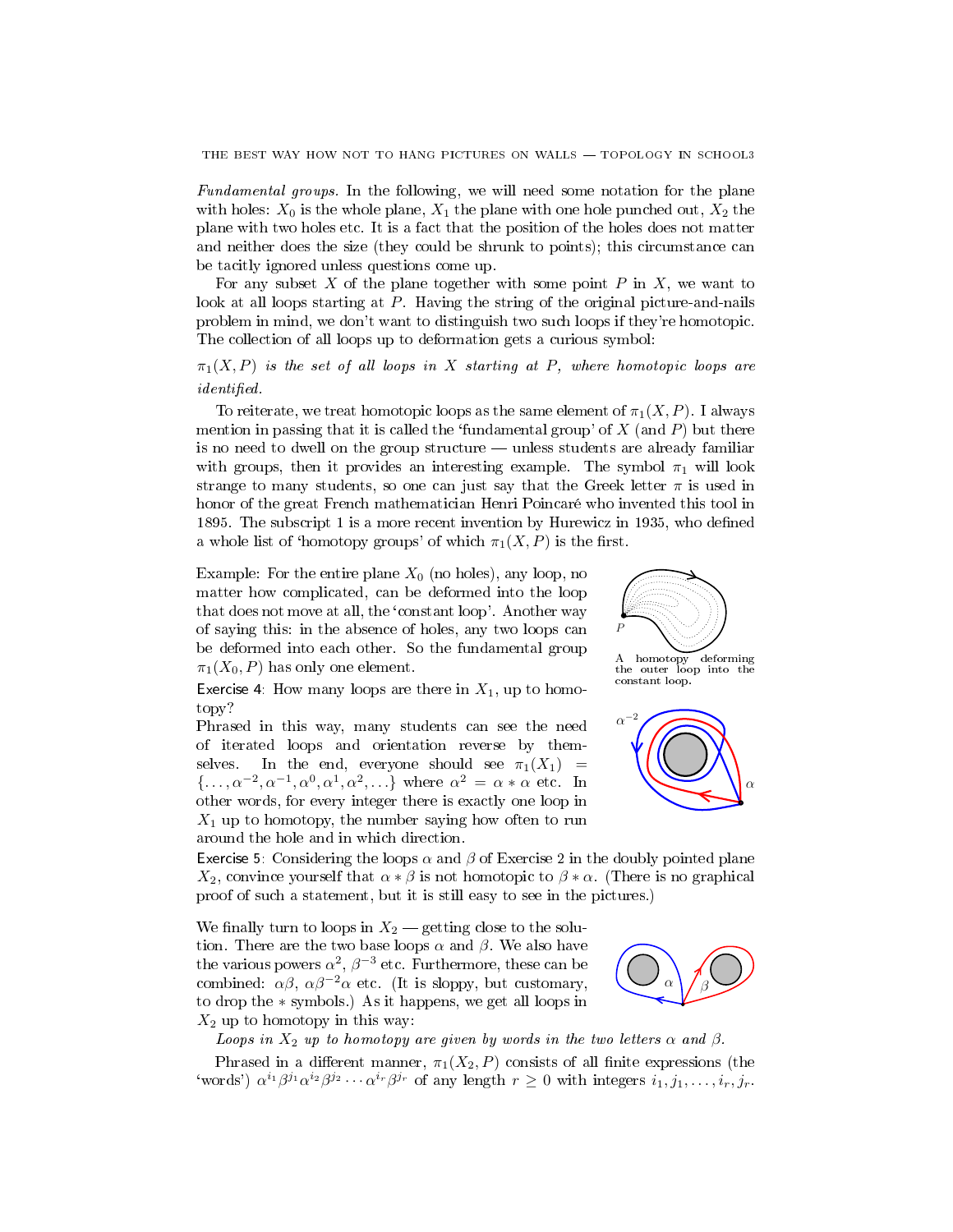Fundamental groups. In the following, we will need some notation for the plane with holes:  $X_0$  is the whole plane,  $X_1$  the plane with one hole punched out,  $X_2$  the plane with two holes etc. It is a fact that the position of the holes does not matter and neither does the size (they could be shrunk to points); this circumstance can be tacitly ignored unless questions come up.

For any subset  $X$  of the plane together with some point  $P$  in  $X$ , we want to look at all loops starting at P. Having the string of the original picture-and-nails problem in mind, we don't want to distinguish two such loops if they're homotopic. The collection of all loops up to deformation gets a curious symbol:

 $\pi_1(X, P)$  is the set of all loops in X starting at P, where homotopic loops are  $identified.$ 

To reiterate, we treat homotopic loops as the same element of  $\pi_1(X, P)$ . I always mention in passing that it is called the 'fundamental group' of  $X$  (and  $P$ ) but there is no need to dwell on the group structure  $-$  unless students are already familiar with groups, then it provides an interesting example. The symbol  $\pi_1$  will look strange to many students, so one can just say that the Greek letter  $\pi$  is used in honor of the great French mathematician Henri Poincaré who invented this tool in 1895. The subscript 1 is a more recent invention by Hurewicz in 1935, who defined a whole list of 'homotopy groups' of which  $\pi_1(X, P)$  is the first.

Example: For the entire plane  $X_0$  (no holes), any loop, no matter how complicated, can be deformed into the loop that does not move at all, the `constant loop'. Another way of saying this: in the absence of holes, any two loops can be deformed into each other. So the fundamental group  $\pi_1(X_0, P)$  has only one element.

Exercise 4: How many loops are there in  $X_1$ , up to homo-<br>constant loop. topy?

Phrased in this way, many students can see the need of iterated loops and orientation reverse by themselves. In the end, everyone should see  $\pi_1(X_1)$  =  $\{\ldots, \alpha^{-2}, \alpha^{-1}, \alpha^0, \alpha^1, \alpha^2, \ldots\}$  where  $\alpha^2 = \alpha * \alpha$  etc. In other words, for every integer there is exactly one loop in  $X_1$  up to homotopy, the number saying how often to run around the hole and in which direction.



A homotopy deforming the outer loop into the



Exercise 5: Considering the loops  $\alpha$  and  $\beta$  of Exercise 2 in the doubly pointed plane  $X_2$ , convince yourself that  $\alpha * \beta$  is not homotopic to  $\beta * \alpha$ . (There is no graphical proof of such a statement, but it is still easy to see in the pictures.)

We finally turn to loops in  $X_2$  – getting close to the solution. There are the two base loops  $\alpha$  and  $\beta$ . We also have the various powers  $\alpha^2,\,\beta^{-3}$  etc. Furthermore, these can be combined:  $\alpha\beta$ ,  $\alpha\beta^{-2}\alpha$  etc. (It is sloppy, but customary, to drop the ∗ symbols.) As it happens, we get all loops in  $X_2$  up to homotopy in this way:



Loops in  $X_2$  up to homotopy are given by words in the two letters  $\alpha$  and  $\beta$ .

Phrased in a different manner,  $\pi_1(X_2, P)$  consists of all finite expressions (the 'words')  $\alpha^{i_1}\beta^{j_1}\alpha^{i_2}\beta^{j_2}\cdots \alpha^{i_r}\beta^{j_r}$  of any length  $r\geq 0$  with integers  $i_1, j_1, \ldots, i_r, j_r$ .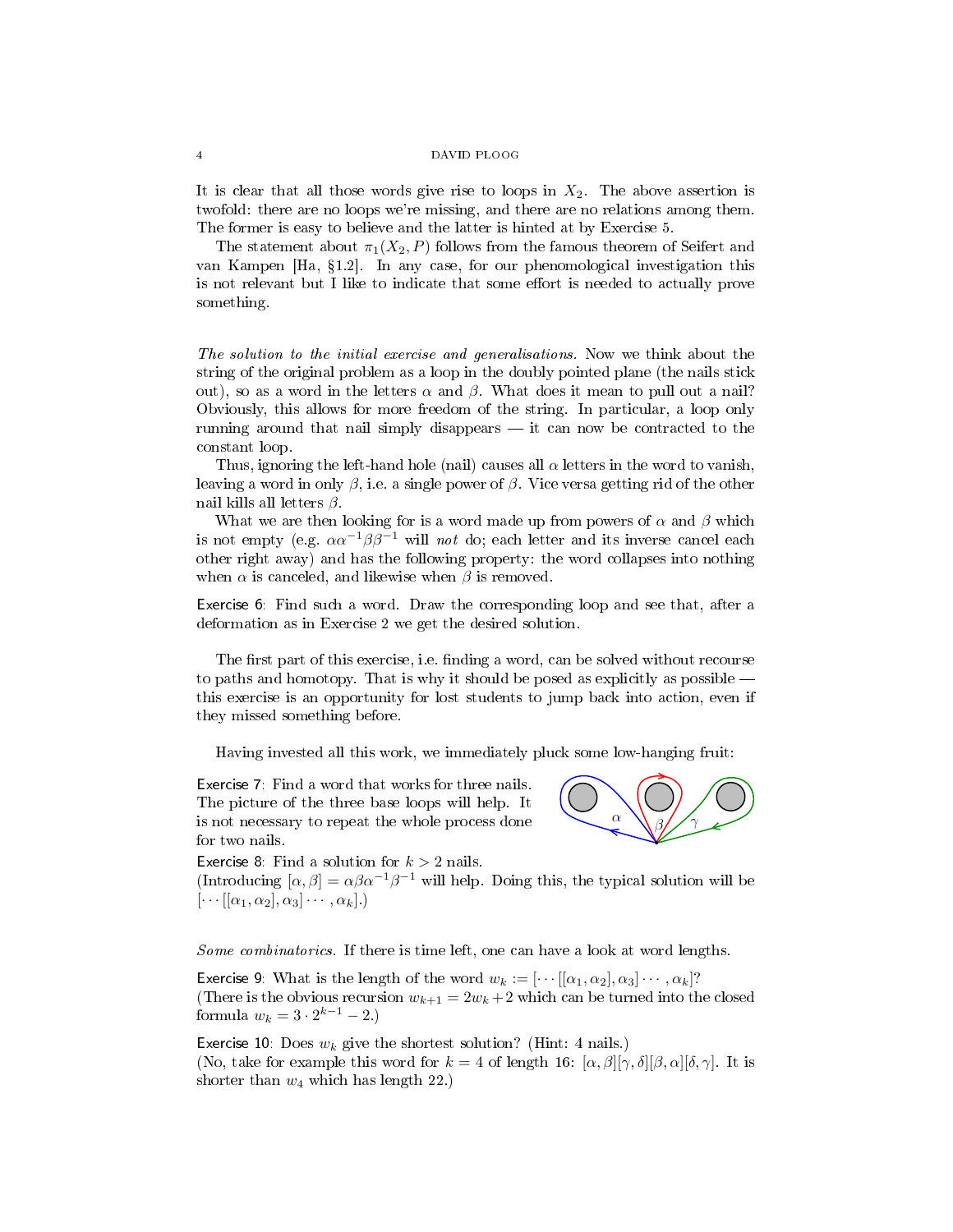It is clear that all those words give rise to loops in  $X_2$ . The above assertion is twofold: there are no loops we're missing, and there are no relations among them. The former is easy to believe and the latter is hinted at by Exercise 5.

The statement about  $\pi_1(X_2, P)$  follows from the famous theorem of Seifert and van Kampen  $[Ha, §1.2]$ . In any case, for our phenomological investigation this is not relevant but I like to indicate that some effort is needed to actually prove something.

The solution to the initial exercise and generalisations. Now we think about the string of the original problem as a loop in the doubly pointed plane (the nails stick out), so as a word in the letters  $\alpha$  and  $\beta$ . What does it mean to pull out a nail? Obviously, this allows for more freedom of the string. In particular, a loop only running around that nail simply disappears  $-$  it can now be contracted to the constant loop.

Thus, ignoring the left-hand hole (nail) causes all  $\alpha$  letters in the word to vanish, leaving a word in only  $\beta$ , i.e. a single power of  $\beta$ . Vice versa getting rid of the other nail kills all letters  $\beta$ .

What we are then looking for is a word made up from powers of  $\alpha$  and  $\beta$  which is not empty (e.g.  $\alpha \alpha^{-1} \beta \beta^{-1}$  will not do; each letter and its inverse cancel each other right away) and has the following property: the word collapses into nothing when  $\alpha$  is canceled, and likewise when  $\beta$  is removed.

Exercise 6: Find such a word. Draw the corresponding loop and see that, after a deformation as in Exercise 2 we get the desired solution.

The first part of this exercise, i.e. finding a word, can be solved without recourse to paths and homotopy. That is why it should be posed as explicitly as possible this exercise is an opportunity for lost students to jump back into action, even if they missed something before.

Having invested all this work, we immediately pluck some low-hanging fruit:

Exercise 7: Find a word that works for three nails. The picture of the three base loops will help. It is not necessary to repeat the whole process done for two nails.



Exercise 8: Find a solution for  $k > 2$  nails. (Introducing  $[\alpha, \beta] = \alpha \beta \alpha^{-1} \beta^{-1}$  will help. Doing this, the typical solution will be  $\left[\cdots\left[\left[\alpha_1,\alpha_2\right],\alpha_3\right]\cdots,\alpha_k\right]$ .

Some combinatorics. If there is time left, one can have a look at word lengths.

Exercise 9: What is the length of the word  $w_k := [\cdots [[\alpha_1, \alpha_2], \alpha_3] \cdots, \alpha_k]$ ? (There is the obvious recursion  $w_{k+1} = 2w_k + 2$  which can be turned into the closed formula  $w_k = 3 \cdot 2^{k-1} - 2.$ 

Exercise 10: Does  $w_k$  give the shortest solution? (Hint: 4 nails.) (No, take for example this word for  $k = 4$  of length 16:  $\left[\alpha, \beta\right] [\gamma, \delta][\beta, \alpha][\delta, \gamma]$ . It is shorter than  $w_4$  which has length 22.)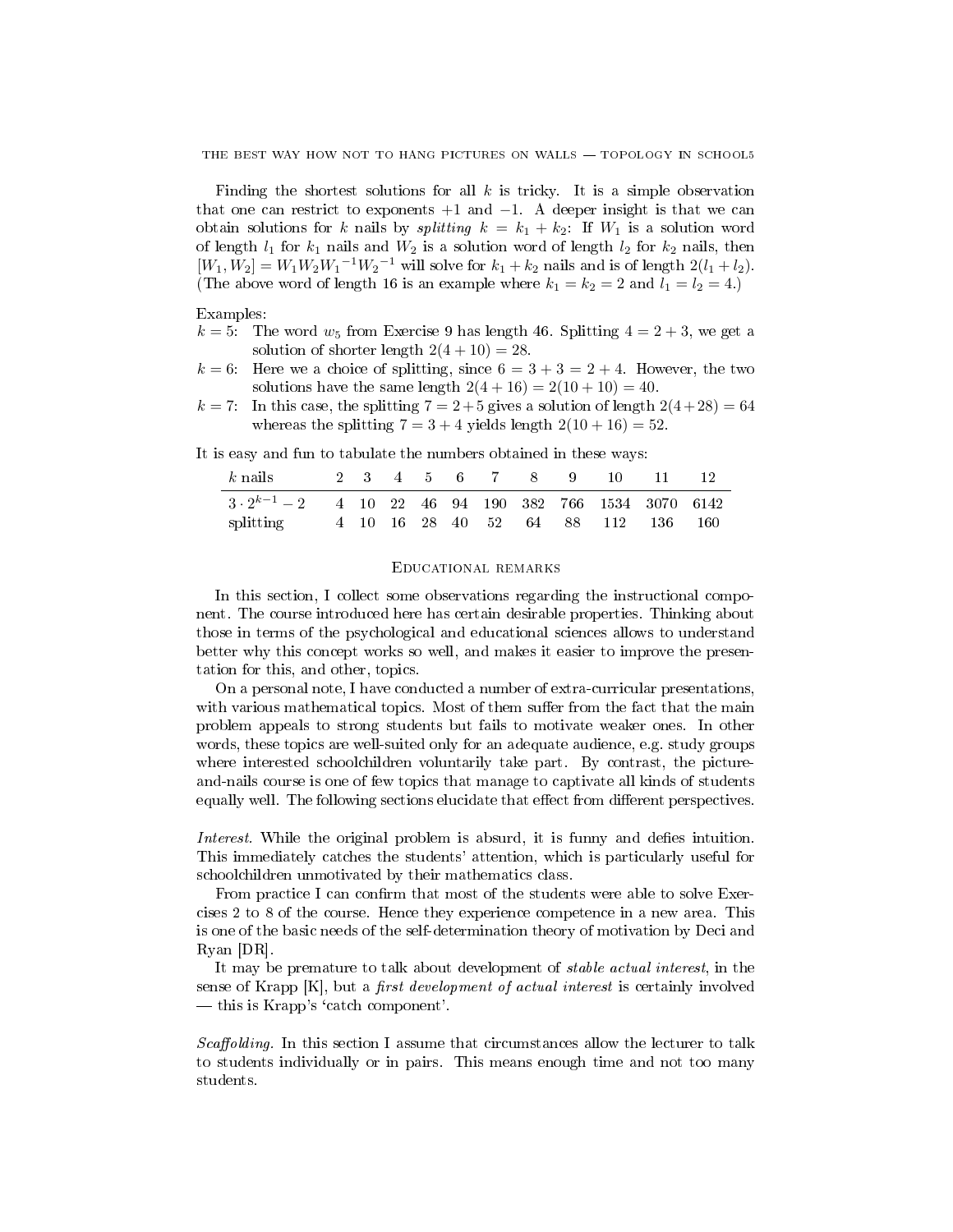Finding the shortest solutions for all  $k$  is tricky. It is a simple observation that one can restrict to exponents  $+1$  and  $-1$ . A deeper insight is that we can obtain solutions for k nails by *splitting*  $k = k_1 + k_2$ : If  $W_1$  is a solution word of length  $l_1$  for  $k_1$  nails and  $W_2$  is a solution word of length  $l_2$  for  $k_2$  nails, then  $[W_1, W_2] = W_1 W_2 W_1^{-1} W_2^{-1}$  will solve for  $k_1 + k_2$  nails and is of length  $2(l_1 + l_2)$ . (The above word of length 16 is an example where  $k_1 = k_2 = 2$  and  $l_1 = l_2 = 4$ .)

Examples:

- $k = 5$ : The word  $w_5$  from Exercise 9 has length 46. Splitting  $4 = 2 + 3$ , we get a solution of shorter length  $2(4+10) = 28$ .
- $k = 6$ : Here we a choice of splitting, since  $6 = 3 + 3 = 2 + 4$ . However, the two solutions have the same length  $2(4 + 16) = 2(10 + 10) = 40$ .
- $k = 7$ : In this case, the splitting  $7 = 2 + 5$  gives a solution of length  $2(4+28) = 64$ whereas the splitting  $7 = 3 + 4$  yields length  $2(10 + 16) = 52$ .

It is easy and fun to tabulate the numbers obtained in these ways:

| $k$ nails                                                      |  |  |  | 2 3 4 5 6 7 8 9 10 |                                    | $-11$ | -12 |
|----------------------------------------------------------------|--|--|--|--------------------|------------------------------------|-------|-----|
| $3 \cdot 2^{k-1} - 2$ 4 10 22 46 94 190 382 766 1534 3070 6142 |  |  |  |                    |                                    |       |     |
| splitting                                                      |  |  |  |                    | 4 10 16 28 40 52 64 88 112 136 160 |       |     |

# Educational remarks

In this section, I collect some observations regarding the instructional component. The course introduced here has certain desirable properties. Thinking about those in terms of the psychological and educational sciences allows to understand better why this concept works so well, and makes it easier to improve the presentation for this, and other, topics.

On a personal note, I have conducted a number of extra-curricular presentations, with various mathematical topics. Most of them suffer from the fact that the main problem appeals to strong students but fails to motivate weaker ones. In other words, these topics are well-suited only for an adequate audience, e.g. study groups where interested schoolchildren voluntarily take part. By contrast, the pictureand-nails course is one of few topics that manage to captivate all kinds of students equally well. The following sections elucidate that effect from different perspectives.

Interest. While the original problem is absurd, it is funny and defies intuition. This immediately catches the students' attention, which is particularly useful for schoolchildren unmotivated by their mathematics class.

From practice I can confirm that most of the students were able to solve Exercises 2 to 8 of the course. Hence they experience competence in a new area. This is one of the basic needs of the self-determination theory of motivation by Deci and Ryan [DR].

It may be premature to talk about development of stable actual interest, in the sense of Krapp  $[K]$ , but a *first development of actual interest* is certainly involved  $-\theta$ this is Krapp's 'catch component'.

Scaffolding. In this section I assume that circumstances allow the lecturer to talk to students individually or in pairs. This means enough time and not too many students.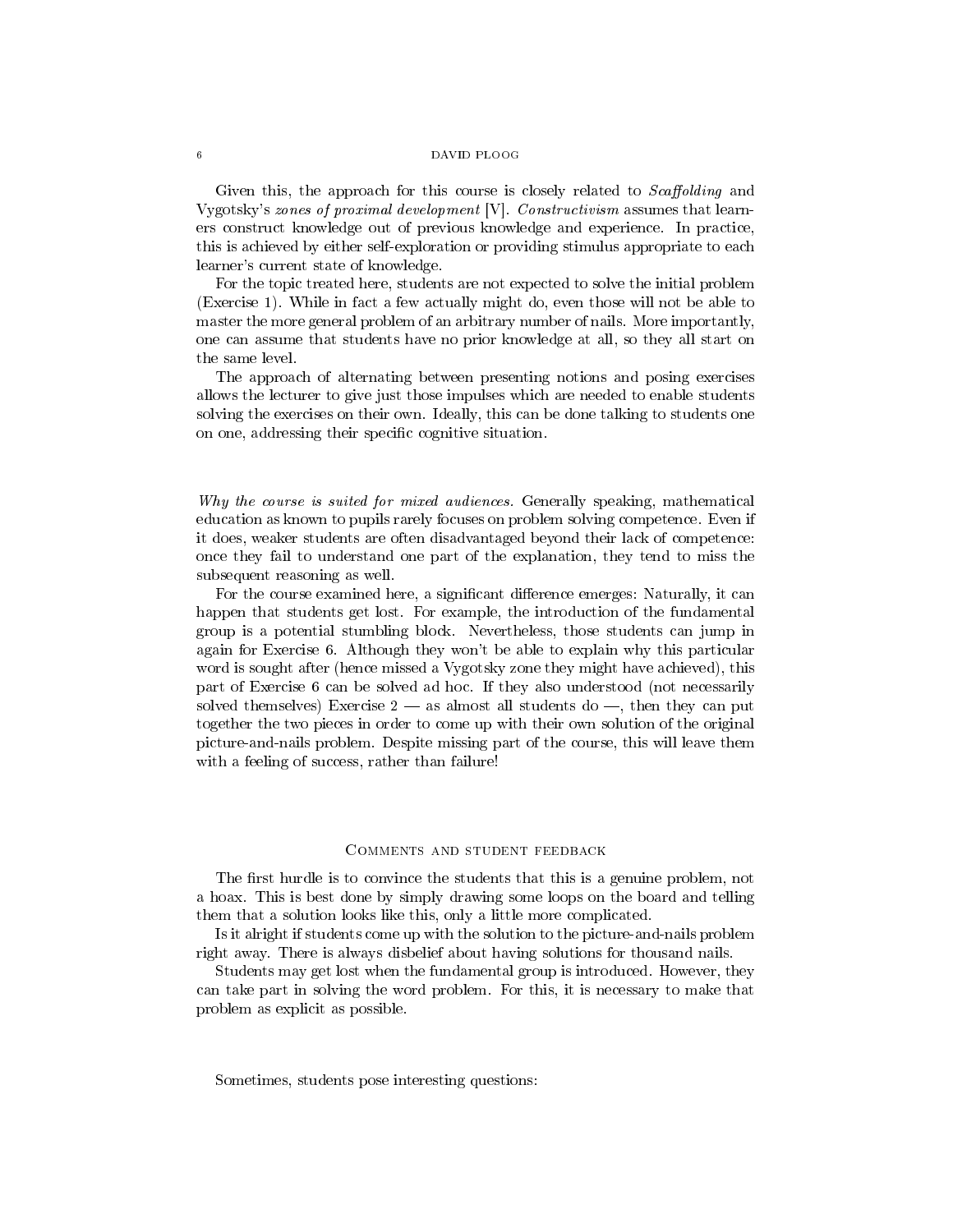#### 6 DAVID PLOOG

Given this, the approach for this course is closely related to *Scaffolding* and Vygotsky's zones of proximal development [V]. Constructivism assumes that learners construct knowledge out of previous knowledge and experience. In practice, this is achieved by either self-exploration or providing stimulus appropriate to each learner's current state of knowledge.

For the topic treated here, students are not expected to solve the initial problem (Exercise 1). While in fact a few actually might do, even those will not be able to master the more general problem of an arbitrary number of nails. More importantly, one can assume that students have no prior knowledge at all, so they all start on the same level.

The approach of alternating between presenting notions and posing exercises allows the lecturer to give just those impulses which are needed to enable students solving the exercises on their own. Ideally, this can be done talking to students one on one, addressing their specific cognitive situation.

Why the course is suited for mixed audiences. Generally speaking, mathematical education as known to pupils rarely focuses on problem solving competence. Even if it does, weaker students are often disadvantaged beyond their lack of competence: once they fail to understand one part of the explanation, they tend to miss the subsequent reasoning as well.

For the course examined here, a significant difference emerges: Naturally, it can happen that students get lost. For example, the introduction of the fundamental group is a potential stumbling block. Nevertheless, those students can jump in again for Exercise 6. Although they won't be able to explain why this particular word is sought after (hence missed a Vygotsky zone they might have achieved), this part of Exercise 6 can be solved ad hoc. If they also understood (not necessarily solved themselves) Exercise  $2 -$  as almost all students do  $-$ , then they can put together the two pieces in order to come up with their own solution of the original picture-and-nails problem. Despite missing part of the course, this will leave them with a feeling of success, rather than failure!

## Comments and student feedback

The first hurdle is to convince the students that this is a genuine problem, not a hoax. This is best done by simply drawing some loops on the board and telling them that a solution looks like this, only a little more complicated.

Is it alright if students come up with the solution to the picture-and-nails problem right away. There is always disbelief about having solutions for thousand nails.

Students may get lost when the fundamental group is introduced. However, they can take part in solving the word problem. For this, it is necessary to make that problem as explicit as possible.

Sometimes, students pose interesting questions: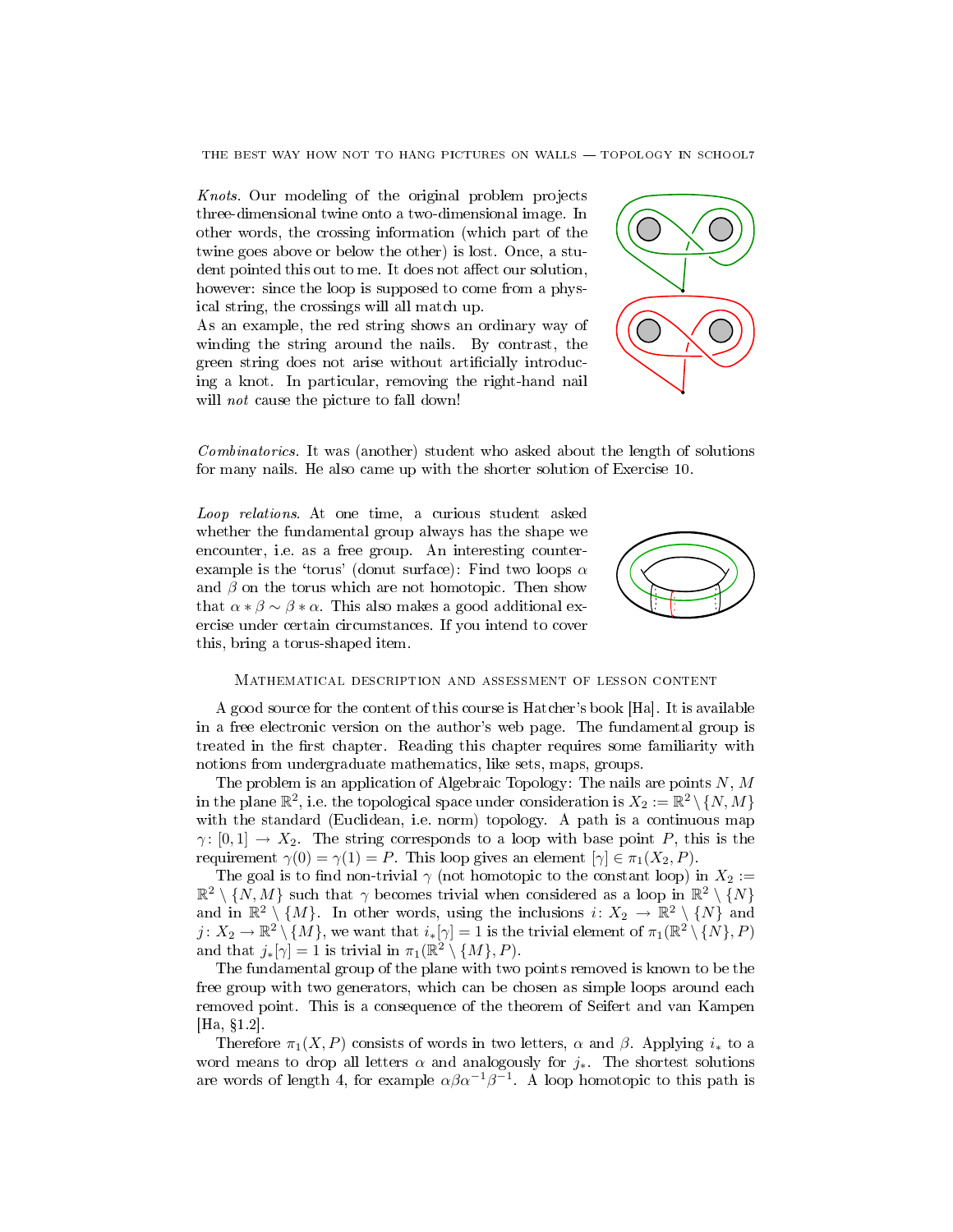Knots. Our modeling of the original problem projects three-dimensional twine onto a two-dimensional image. In other words, the crossing information (which part of the twine goes above or below the other) is lost. Once, a student pointed this out to me. It does not affect our solution, however: since the loop is supposed to come from a physical string, the crossings will all match up.

As an example, the red string shows an ordinary way of winding the string around the nails. By contrast, the green string does not arise without artificially introducing a knot. In particular, removing the right-hand nail will *not* cause the picture to fall down!



Combinatorics. It was (another) student who asked about the length of solutions for many nails. He also came up with the shorter solution of Exercise 10.

Loop relations. At one time, a curious student asked whether the fundamental group always has the shape we encounter, i.e. as a free group. An interesting counterexample is the 'torus' (donut surface): Find two loops  $\alpha$ and  $\beta$  on the torus which are not homotopic. Then show that  $\alpha * \beta \sim \beta * \alpha$ . This also makes a good additional exercise under certain circumstances. If you intend to cover this, bring a torus-shaped item.



## Mathematical description and assessment of lesson content

A good source for the content of this course is Hatcher's book [Ha]. It is available in a free electronic version on the author's web page. The fundamental group is treated in the first chapter. Reading this chapter requires some familiarity with notions from undergraduate mathematics, like sets, maps, groups.

The problem is an application of Algebraic Topology: The nails are points  $N, M$ in the plane  $\mathbb{R}^2,$  i.e. the topological space under consideration is  $X_2 := \mathbb{R}^2 \setminus \{N,M\}$ with the standard (Euclidean, i.e. norm) topology. A path is a continuous map  $\gamma: [0,1] \to X_2$ . The string corresponds to a loop with base point P, this is the requirement  $\gamma(0) = \gamma(1) = P$ . This loop gives an element  $[\gamma] \in \pi_1(X_2, P)$ .

The goal is to find non-trivial  $\gamma$  (not homotopic to the constant loop) in  $X_2 :=$  $\mathbb{R}^2 \setminus \{N, M\}$  such that  $\gamma$  becomes trivial when considered as a loop in  $\mathbb{R}^2 \setminus \{N\}$ and in  $\mathbb{R}^2 \setminus \{M\}$ . In other words, using the inclusions  $i: X_2 \to \mathbb{R}^2 \setminus \{N\}$  and  $j\colon X_2\to \mathbb{R}^2\setminus\{M\},\,$  we want that  $i_*[\gamma]=1$  is the trivial element of  $\pi_1(\mathbb{R}^2\setminus\{N\},P)$ and that  $j_*[\gamma] = 1$  is trivial in  $\pi_1(\mathbb{R}^2 \setminus \{M\}, P)$ .

The fundamental group of the plane with two points removed is known to be the free group with two generators, which can be chosen as simple loops around each removed point. This is a consequence of the theorem of Seifert and van Kampen  $[Ha, §1.2].$ 

Therefore  $\pi_1(X, P)$  consists of words in two letters,  $\alpha$  and  $\beta$ . Applying  $i_*$  to a word means to drop all letters  $\alpha$  and analogously for  $j_*$ . The shortest solutions are words of length 4, for example  $\alpha\beta\alpha^{-1}\beta^{-1}$ . A loop homotopic to this path is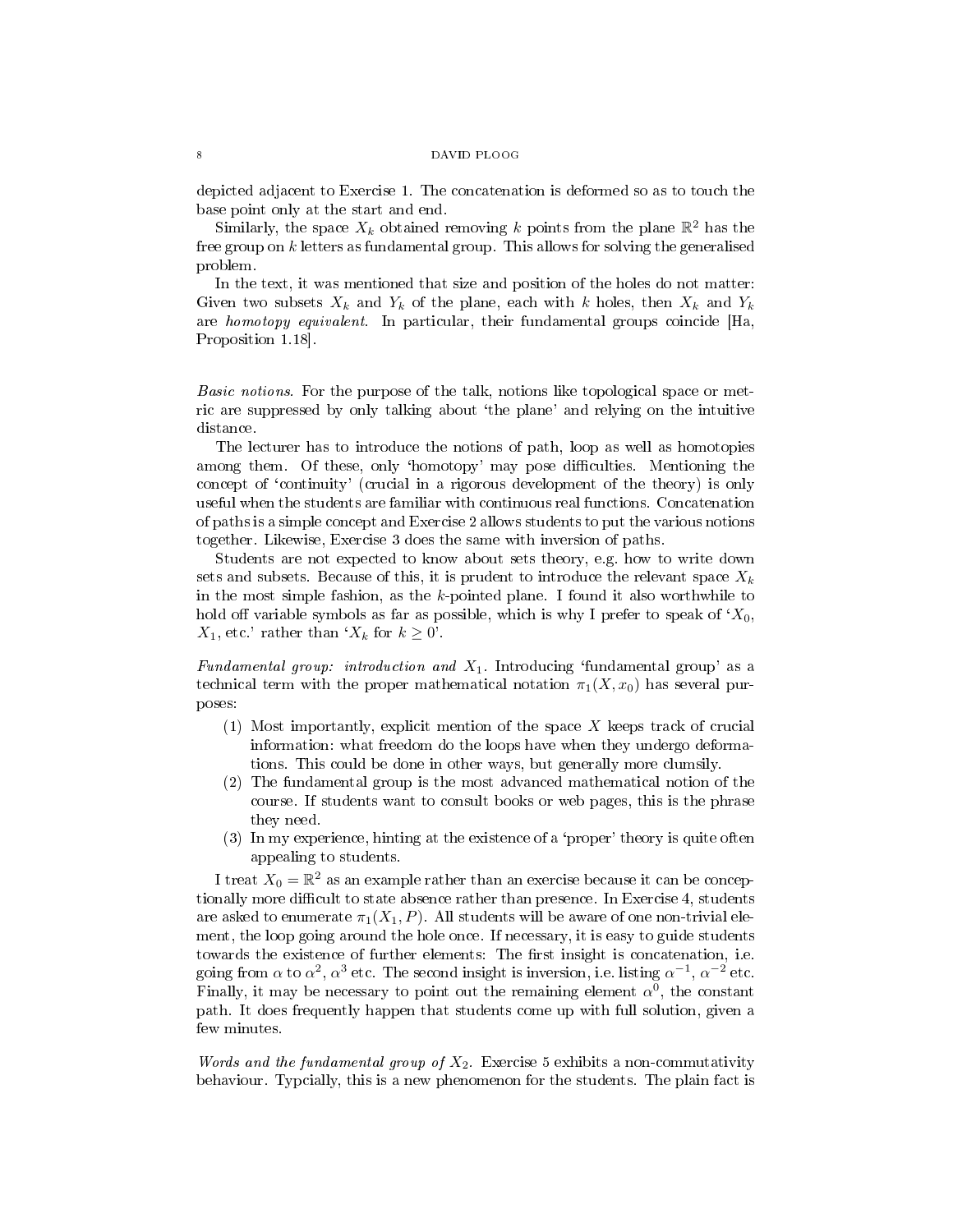depicted adjacent to Exercise 1. The concatenation is deformed so as to touch the base point only at the start and end.

Similarly, the space  $X_k$  obtained removing k points from the plane  $\mathbb{R}^2$  has the free group on  $k$  letters as fundamental group. This allows for solving the generalised problem.

In the text, it was mentioned that size and position of the holes do not matter: Given two subsets  $X_k$  and  $Y_k$  of the plane, each with k holes, then  $X_k$  and  $Y_k$ are homotopy equivalent. In particular, their fundamental groups coincide [Ha, Proposition 1.18].

Basic notions. For the purpose of the talk, notions like topological space or metric are suppressed by only talking about `the plane' and relying on the intuitive distance.

The lecturer has to introduce the notions of path, loop as well as homotopies among them. Of these, only 'homotopy' may pose difficulties. Mentioning the concept of `continuity' (crucial in a rigorous development of the theory) is only useful when the students are familiar with continuous real functions. Concatenation of paths is a simple concept and Exercise 2 allows students to put the various notions together. Likewise, Exercise 3 does the same with inversion of paths.

Students are not expected to know about sets theory, e.g. how to write down sets and subsets. Because of this, it is prudent to introduce the relevant space  $X_k$ in the most simple fashion, as the  $k$ -pointed plane. I found it also worthwhile to hold off variable symbols as far as possible, which is why I prefer to speak of  $X_0$ ,  $X_1$ , etc.' rather than ' $X_k$  for  $k \geq 0$ '.

Fundamental group: introduction and  $X_1$ . Introducing 'fundamental group' as a technical term with the proper mathematical notation  $\pi_1(X, x_0)$  has several purposes:

- (1) Most importantly, explicit mention of the space X keeps track of crucial information: what freedom do the loops have when they undergo deformations. This could be done in other ways, but generally more clumsily.
- (2) The fundamental group is the most advanced mathematical notion of the course. If students want to consult books or web pages, this is the phrase they need.
- (3) In my experience, hinting at the existence of a `proper' theory is quite often appealing to students.

I treat  $X_0 = \mathbb{R}^2$  as an example rather than an exercise because it can be conceptionally more difficult to state absence rather than presence. In Exercise 4, students are asked to enumerate  $\pi_1(X_1, P)$ . All students will be aware of one non-trivial element, the loop going around the hole once. If necessary, it is easy to guide students towards the existence of further elements: The first insight is concatenation, i.e. going from  $\alpha$  to  $\alpha^2$ ,  $\alpha^3$  etc. The second insight is inversion, i.e. listing  $\alpha^{-1}$ ,  $\alpha^{-2}$  etc. Finally, it may be necessary to point out the remaining element  $\alpha^0$ , the constant path. It does frequently happen that students come up with full solution, given a few minutes.

*Words and the fundamental group of*  $X_2$ . Exercise 5 exhibits a non-commutativity behaviour. Typcially, this is a new phenomenon for the students. The plain fact is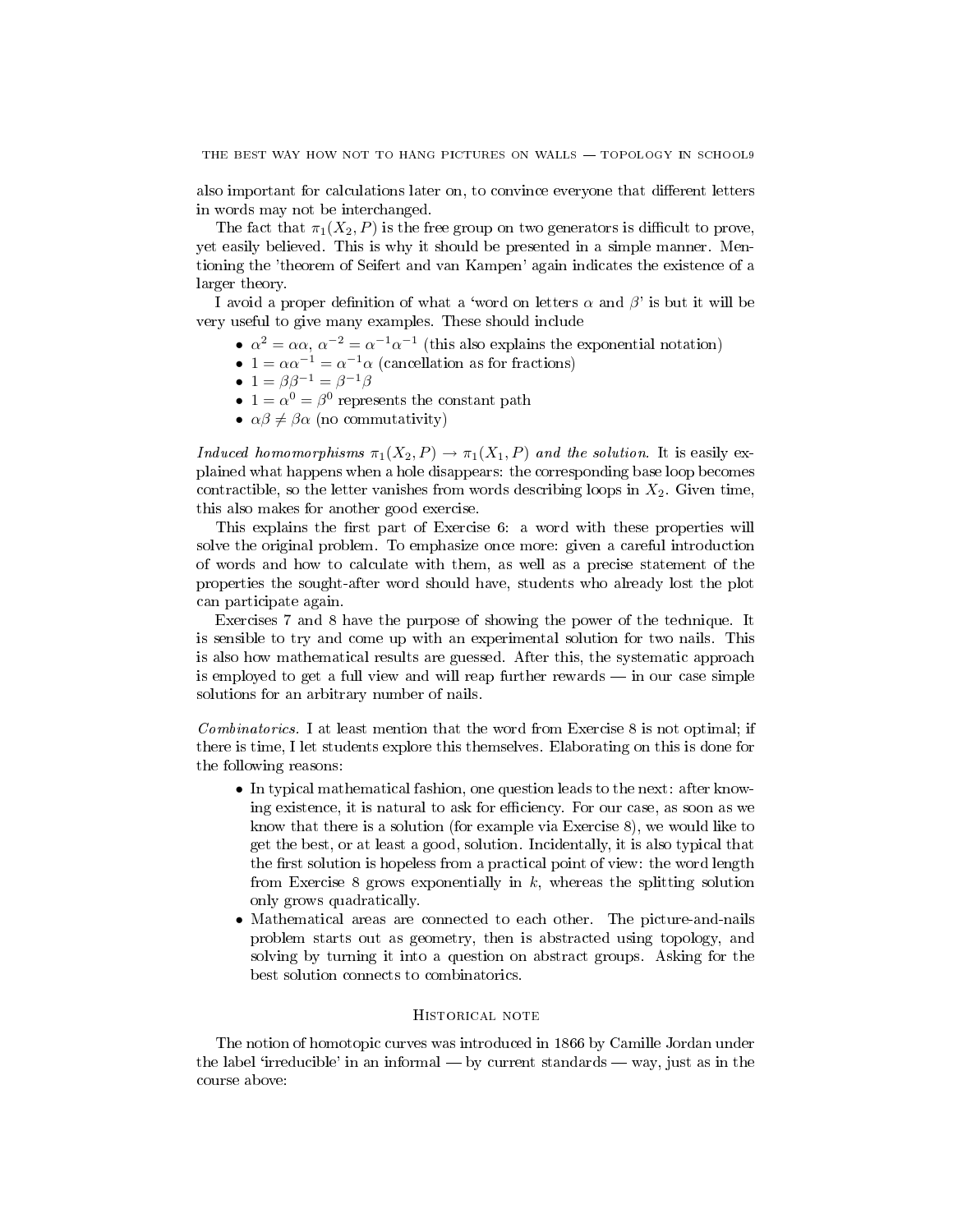also important for calculations later on, to convince everyone that different letters in words may not be interchanged.

The fact that  $\pi_1(X_2, P)$  is the free group on two generators is difficult to prove, yet easily believed. This is why it should be presented in a simple manner. Mentioning the 'theorem of Seifert and van Kampen' again indicates the existence of a larger theory.

I avoid a proper definition of what a 'word on letters  $\alpha$  and  $\beta$ ' is but it will be very useful to give many examples. These should include

- $\alpha^2 = \alpha \alpha$ ,  $\alpha^{-2} = \alpha^{-1} \alpha^{-1}$  (this also explains the exponential notation)
- $1 = \alpha \alpha^{-1} = \alpha^{-1} \alpha$  (cancellation as for fractions)
- $1 = \beta \beta^{-1} = \beta^{-1} \beta$
- $1 = \alpha^0 = \beta^0$  represents the constant path
- $\alpha\beta \neq \beta\alpha$  (no commutativity)

Induced homomorphisms  $\pi_1(X_2, P) \to \pi_1(X_1, P)$  and the solution. It is easily explained what happens when a hole disappears: the corresponding base loop becomes contractible, so the letter vanishes from words describing loops in  $X_2$ . Given time, this also makes for another good exercise.

This explains the first part of Exercise 6: a word with these properties will solve the original problem. To emphasize once more: given a careful introduction of words and how to calculate with them, as well as a precise statement of the properties the sought-after word should have, students who already lost the plot can participate again.

Exercises 7 and 8 have the purpose of showing the power of the technique. It is sensible to try and come up with an experimental solution for two nails. This is also how mathematical results are guessed. After this, the systematic approach is employed to get a full view and will reap further rewards  $\frac{1}{\sqrt{1-\frac{1}{\sqrt{1-\frac{1}{\sqrt{1-\frac{1}{\sqrt{1-\frac{1}{\sqrt{1-\frac{1}{\sqrt{1-\frac{1}{\sqrt{1-\frac{1}{\sqrt{1-\frac{1}{\sqrt{1-\frac{1}{\sqrt{1-\frac{1}{\sqrt{1-\frac{1}{\sqrt{1-\frac{1}{\sqrt{1-\frac{1}{\sqrt{1-\frac{1}{\sqrt{1-\frac{1}{\sqrt{1-\frac{1}{\sqrt{1-\frac{1}{\$ solutions for an arbitrary number of nails.

Combinatorics. I at least mention that the word from Exercise 8 is not optimal; if there is time, I let students explore this themselves. Elaborating on this is done for the following reasons:

- In typical mathematical fashion, one question leads to the next: after knowing existence, it is natural to ask for efficiency. For our case, as soon as we know that there is a solution (for example via Exercise 8), we would like to get the best, or at least a good, solution. Incidentally, it is also typical that the first solution is hopeless from a practical point of view: the word length from Exercise 8 grows exponentially in  $k$ , whereas the splitting solution only grows quadratically.
- Mathematical areas are connected to each other. The picture-and-nails problem starts out as geometry, then is abstracted using topology, and solving by turning it into a question on abstract groups. Asking for the best solution connects to combinatorics.

# Historical note

The notion of homotopic curves was introduced in 1866 by Camille Jordan under the label 'irreducible' in an informal  $\sim$  by current standards  $\sim$  way, just as in the course above: